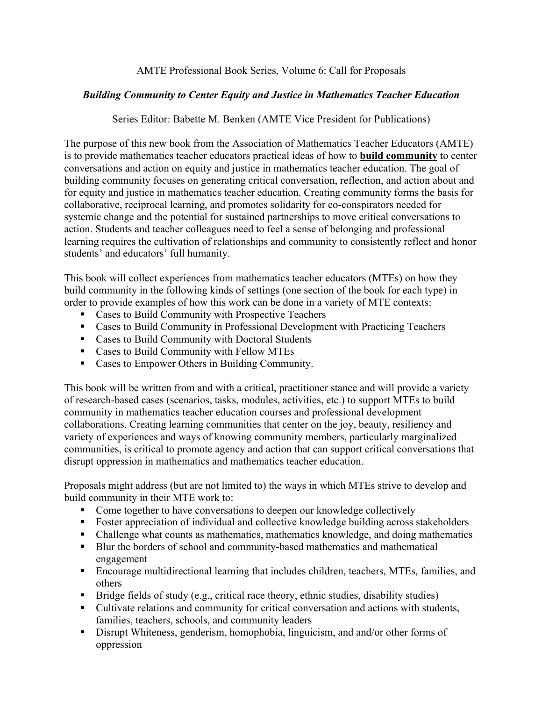## AMTE Professional Book Series, Volume 6: Call for Proposals

# *Building Community to Center Equity and Justice in Mathematics Teacher Education*

# Series Editor: Babette M. Benken (AMTE Vice President for Publications)

The purpose of this new book from the Association of Mathematics Teacher Educators (AMTE) is to provide mathematics teacher educators practical ideas of how to **build community** to center conversations and action on equity and justice in mathematics teacher education. The goal of building community focuses on generating critical conversation, reflection, and action about and for equity and justice in mathematics teacher education. Creating community forms the basis for collaborative, reciprocal learning, and promotes solidarity for co-conspirators needed for systemic change and the potential for sustained partnerships to move critical conversations to action. Students and teacher colleagues need to feel a sense of belonging and professional learning requires the cultivation of relationships and community to consistently reflect and honor students' and educators' full humanity.

This book will collect experiences from mathematics teacher educators (MTEs) on how they build community in the following kinds of settings (one section of the book for each type) in order to provide examples of how this work can be done in a variety of MTE contexts:

- Cases to Build Community with Prospective Teachers
- Cases to Build Community in Professional Development with Practicing Teachers
- Cases to Build Community with Doctoral Students
- Cases to Build Community with Fellow MTEs
- Cases to Empower Others in Building Community.

This book will be written from and with a critical, practitioner stance and will provide a variety of research-based cases (scenarios, tasks, modules, activities, etc.) to support MTEs to build community in mathematics teacher education courses and professional development collaborations. Creating learning communities that center on the joy, beauty, resiliency and variety of experiences and ways of knowing community members, particularly marginalized communities, is critical to promote agency and action that can support critical conversations that disrupt oppression in mathematics and mathematics teacher education.

Proposals might address (but are not limited to) the ways in which MTEs strive to develop and build community in their MTE work to:

- Come together to have conversations to deepen our knowledge collectively
- Foster appreciation of individual and collective knowledge building across stakeholders
- Challenge what counts as mathematics, mathematics knowledge, and doing mathematics
- Blur the borders of school and community-based mathematics and mathematical engagement
- § Encourage multidirectional learning that includes children, teachers, MTEs, families, and others
- Bridge fields of study (e.g., critical race theory, ethnic studies, disability studies)
- Cultivate relations and community for critical conversation and actions with students, families, teachers, schools, and community leaders
- Disrupt Whiteness, genderism, homophobia, linguicism, and and/or other forms of oppression